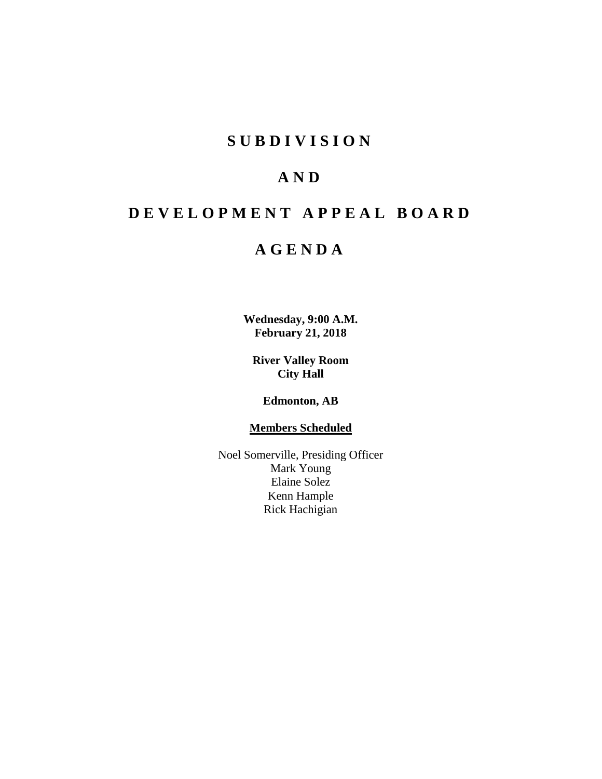# **SUBDIVISION**

# **AND**

# **DEVELOPMENT APPEAL BOARD**

# **AGENDA**

**Wednesday, 9:00 A.M. February 21, 2018**

**River Valley Room City Hall**

**Edmonton, AB**

# **Members Scheduled**

Noel Somerville, Presiding Officer Mark Young Elaine Solez Kenn Hample Rick Hachigian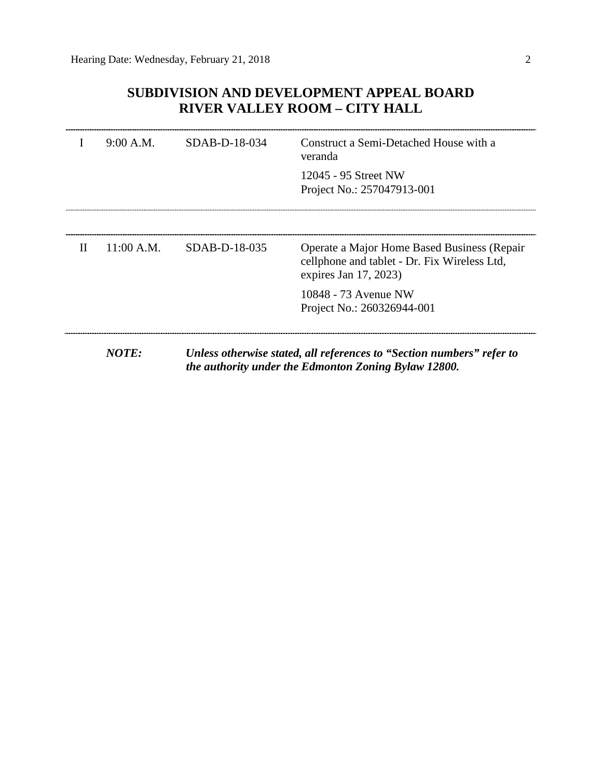# **SUBDIVISION AND DEVELOPMENT APPEAL BOARD RIVER VALLEY ROOM – CITY HALL**

|   | 9:00 A.M.  | SDAB-D-18-034   | Construct a Semi-Detached House with a<br>veranda                                                                             |
|---|------------|-----------------|-------------------------------------------------------------------------------------------------------------------------------|
|   |            |                 | 12045 - 95 Street NW<br>Project No.: 257047913-001                                                                            |
|   |            |                 |                                                                                                                               |
| П | 11:00 A.M. | $SDAB-D-18-035$ | Operate a Major Home Based Business (Repair<br>cellphone and tablet - Dr. Fix Wireless Ltd,<br>expires Jan $17, 2023$         |
|   |            |                 | 10848 - 73 Avenue NW<br>Project No.: 260326944-001                                                                            |
|   |            |                 |                                                                                                                               |
|   | NOTE:      |                 | Unless otherwise stated, all references to "Section numbers" refer to<br>the authority under the Edmonton Zoning Bylaw 12800. |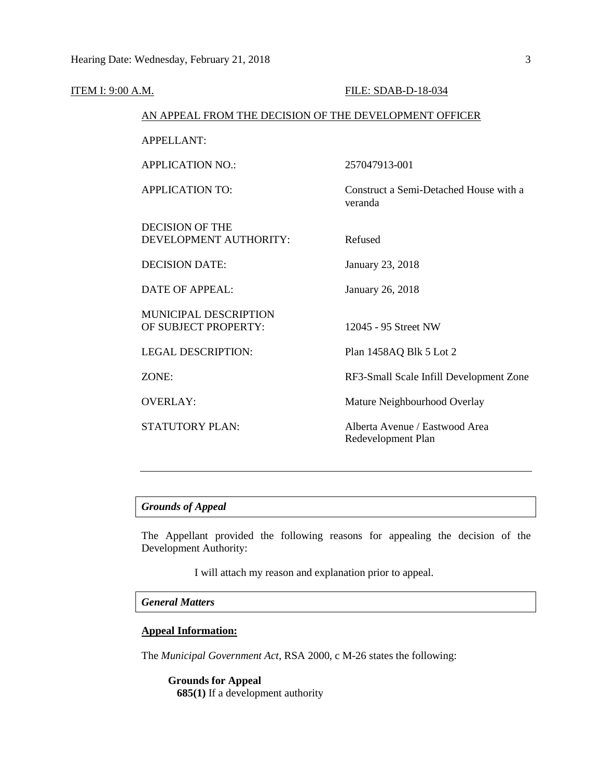| ITEM I: 9:00 A.M. |                                                        | FILE: SDAB-D-18-034                                  |
|-------------------|--------------------------------------------------------|------------------------------------------------------|
|                   | AN APPEAL FROM THE DECISION OF THE DEVELOPMENT OFFICER |                                                      |
|                   | <b>APPELLANT:</b>                                      |                                                      |
|                   | <b>APPLICATION NO.:</b>                                | 257047913-001                                        |
|                   | <b>APPLICATION TO:</b>                                 | Construct a Semi-Detached House with a<br>veranda    |
|                   | <b>DECISION OF THE</b><br>DEVELOPMENT AUTHORITY:       | Refused                                              |
|                   | <b>DECISION DATE:</b>                                  | January 23, 2018                                     |
|                   | <b>DATE OF APPEAL:</b>                                 | January 26, 2018                                     |
|                   | MUNICIPAL DESCRIPTION<br>OF SUBJECT PROPERTY:          | 12045 - 95 Street NW                                 |
|                   | <b>LEGAL DESCRIPTION:</b>                              | Plan 1458AQ Blk 5 Lot 2                              |
|                   | ZONE:                                                  | RF3-Small Scale Infill Development Zone              |
|                   | <b>OVERLAY:</b>                                        | Mature Neighbourhood Overlay                         |
|                   | STATUTORY PLAN:                                        | Alberta Avenue / Eastwood Area<br>Redevelopment Plan |
|                   |                                                        |                                                      |

# *Grounds of Appeal*

The Appellant provided the following reasons for appealing the decision of the Development Authority:

I will attach my reason and explanation prior to appeal.

# *General Matters*

# **Appeal Information:**

The *Municipal Government Act*, RSA 2000, c M-26 states the following:

**Grounds for Appeal 685(1)** If a development authority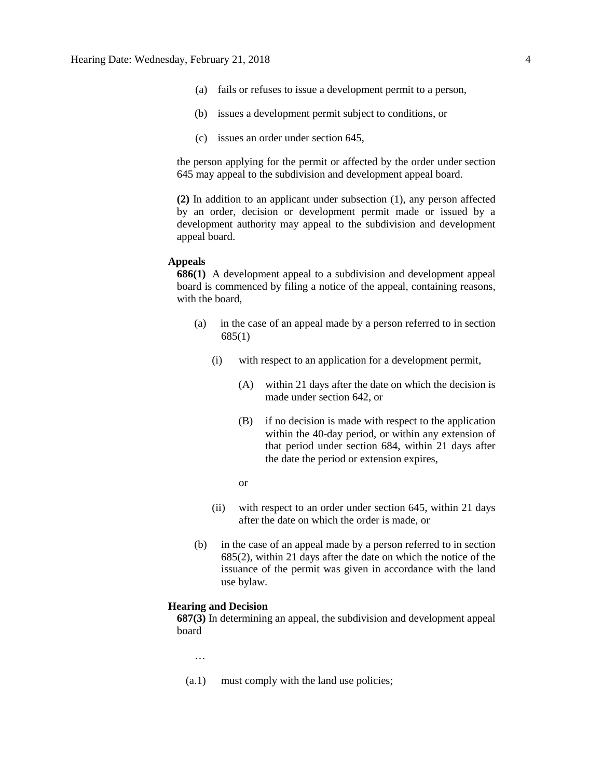- (a) fails or refuses to issue a development permit to a person,
- (b) issues a development permit subject to conditions, or
- (c) issues an order under section 645,

the person applying for the permit or affected by the order under section 645 may appeal to the subdivision and development appeal board.

**(2)** In addition to an applicant under subsection (1), any person affected by an order, decision or development permit made or issued by a development authority may appeal to the subdivision and development appeal board.

## **Appeals**

**686(1)** A development appeal to a subdivision and development appeal board is commenced by filing a notice of the appeal, containing reasons, with the board,

- (a) in the case of an appeal made by a person referred to in section 685(1)
	- (i) with respect to an application for a development permit,
		- (A) within 21 days after the date on which the decision is made under section 642, or
		- (B) if no decision is made with respect to the application within the 40-day period, or within any extension of that period under section 684, within 21 days after the date the period or extension expires,
		- or
	- (ii) with respect to an order under section 645, within 21 days after the date on which the order is made, or
- (b) in the case of an appeal made by a person referred to in section 685(2), within 21 days after the date on which the notice of the issuance of the permit was given in accordance with the land use bylaw.

# **Hearing and Decision**

**687(3)** In determining an appeal, the subdivision and development appeal board

…

(a.1) must comply with the land use policies;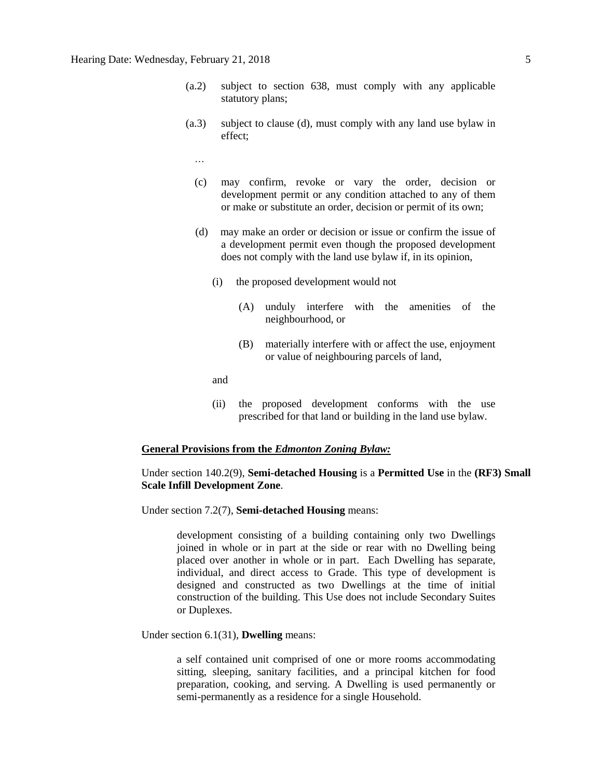- (a.2) subject to section 638, must comply with any applicable statutory plans;
- (a.3) subject to clause (d), must comply with any land use bylaw in effect;
	- …
	- (c) may confirm, revoke or vary the order, decision or development permit or any condition attached to any of them or make or substitute an order, decision or permit of its own;
	- (d) may make an order or decision or issue or confirm the issue of a development permit even though the proposed development does not comply with the land use bylaw if, in its opinion,
		- (i) the proposed development would not
			- (A) unduly interfere with the amenities of the neighbourhood, or
			- (B) materially interfere with or affect the use, enjoyment or value of neighbouring parcels of land,

and

(ii) the proposed development conforms with the use prescribed for that land or building in the land use bylaw.

#### **General Provisions from the** *Edmonton Zoning Bylaw:*

# Under section 140.2(9), **Semi-detached Housing** is a **Permitted Use** in the **(RF3) Small Scale Infill Development Zone**.

Under section 7.2(7), **Semi-detached Housing** means:

development consisting of a building containing only two Dwellings joined in whole or in part at the side or rear with no Dwelling being placed over another in whole or in part. Each Dwelling has separate, individual, and direct access to Grade. This type of development is designed and constructed as two Dwellings at the time of initial construction of the building. This Use does not include Secondary Suites or Duplexes.

Under section 6.1(31), **Dwelling** means:

a self contained unit comprised of one or more rooms accommodating sitting, sleeping, sanitary facilities, and a principal kitchen for food preparation, cooking, and serving. A Dwelling is used permanently or semi-permanently as a residence for a single Household.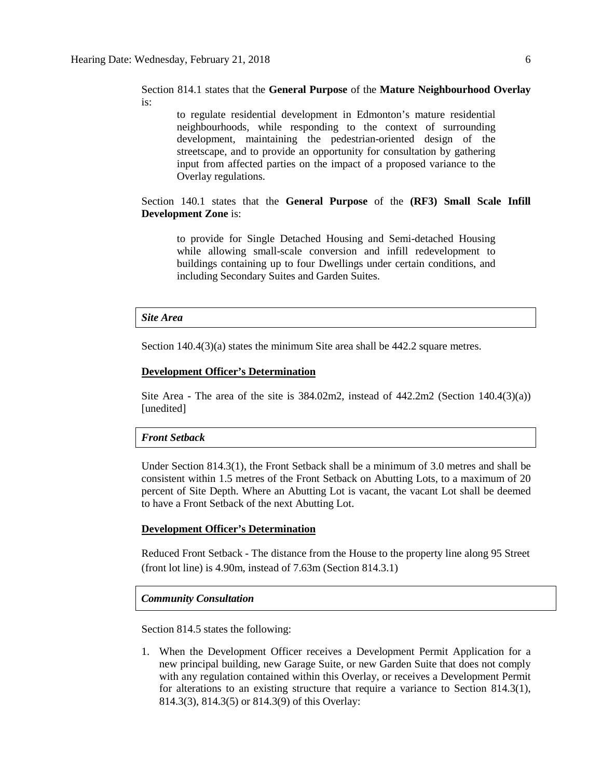Section 814.1 states that the **General Purpose** of the **Mature Neighbourhood Overlay** is:

to regulate residential development in Edmonton's mature residential neighbourhoods, while responding to the context of surrounding development, maintaining the pedestrian-oriented design of the streetscape, and to provide an opportunity for consultation by gathering input from affected parties on the impact of a proposed variance to the Overlay regulations.

Section 140.1 states that the **General Purpose** of the **(RF3) Small Scale Infill Development Zone** is:

to provide for Single Detached Housing and Semi-detached Housing while allowing small-scale conversion and infill redevelopment to buildings containing up to four Dwellings under certain conditions, and including Secondary Suites and Garden Suites.

#### *Site Area*

Section 140.4(3)(a) states the minimum Site area shall be 442.2 square metres.

#### **Development Officer's Determination**

Site Area - The area of the site is  $384.02 \text{m}$ , instead of  $442.2 \text{m}$ , (Section  $140.4(3)(a)$ ) [unedited]

# *Front Setback*

Under Section 814.3(1), the Front Setback shall be a minimum of 3.0 metres and shall be consistent within 1.5 metres of the Front Setback on Abutting Lots, to a maximum of 20 percent of Site Depth. Where an Abutting Lot is vacant, the vacant Lot shall be deemed to have a Front Setback of the next Abutting Lot.

# **Development Officer's Determination**

Reduced Front Setback - The distance from the House to the property line along 95 Street (front lot line) is 4.90m, instead of 7.63m (Section 814.3.1)

#### *Community Consultation*

Section 814.5 states the following:

1. When the Development Officer receives a Development Permit Application for a new principal building, new Garage Suite, or new Garden Suite that does not comply with any regulation contained within this Overlay, or receives a Development Permit for alterations to an existing structure that require a variance to Section 814.3(1), 814.3(3), 814.3(5) or 814.3(9) of this Overlay: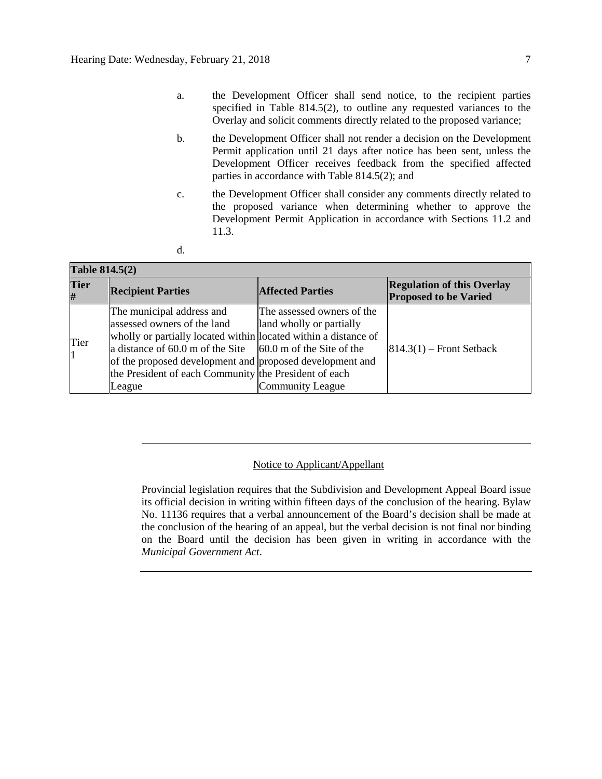- a. the Development Officer shall send notice, to the recipient parties specified in Table 814.5(2), to outline any requested variances to the Overlay and solicit comments directly related to the proposed variance;
- b. the Development Officer shall not render a decision on the Development Permit application until 21 days after notice has been sent, unless the Development Officer receives feedback from the specified affected parties in accordance with Table 814.5(2); and
- c. the Development Officer shall consider any comments directly related to the proposed variance when determining whether to approve the Development Permit Application in accordance with Sections 11.2 and 11.3.
- d.

# **Table 814.5(2)**

| $\mathbf{u}$ and $\mathbf{v}$ and $\mathbf{u}$ |                                                                                                                                                                                                                                                                                                                                                    |                                                                            |                                                                   |  |  |
|------------------------------------------------|----------------------------------------------------------------------------------------------------------------------------------------------------------------------------------------------------------------------------------------------------------------------------------------------------------------------------------------------------|----------------------------------------------------------------------------|-------------------------------------------------------------------|--|--|
| <b>Tier</b><br>#                               | <b>Recipient Parties</b>                                                                                                                                                                                                                                                                                                                           | <b>Affected Parties</b>                                                    | <b>Regulation of this Overlay</b><br><b>Proposed to be Varied</b> |  |  |
| Tier<br>$\vert$ 1                              | The municipal address and<br>assessed owners of the land<br>wholly or partially located within located within a distance of<br>a distance of $60.0 \text{ m}$ of the Site $\vert 60.0 \text{ m}$ of the Site of the<br>of the proposed development and proposed development and<br>the President of each Community the President of each<br>League | The assessed owners of the<br>land wholly or partially<br>Community League | $ 814.3(1) -$ Front Setback                                       |  |  |

# Notice to Applicant/Appellant

Provincial legislation requires that the Subdivision and Development Appeal Board issue its official decision in writing within fifteen days of the conclusion of the hearing. Bylaw No. 11136 requires that a verbal announcement of the Board's decision shall be made at the conclusion of the hearing of an appeal, but the verbal decision is not final nor binding on the Board until the decision has been given in writing in accordance with the *Municipal Government Act*.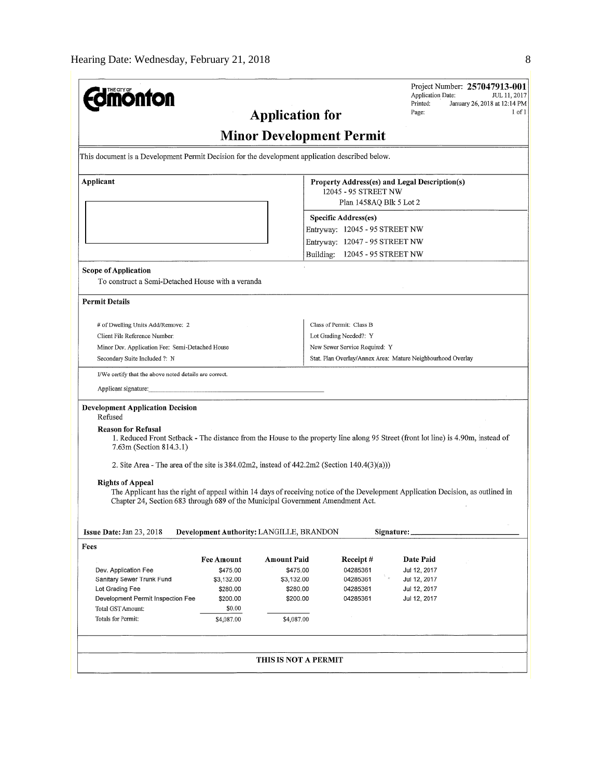| THE CITY OF                                                                                                                                                                                                        |                                          |                      |                                 |  | Application Date:                                           | Project Number: 257047913-001<br>JUL 11, 2017 |  |
|--------------------------------------------------------------------------------------------------------------------------------------------------------------------------------------------------------------------|------------------------------------------|----------------------|---------------------------------|--|-------------------------------------------------------------|-----------------------------------------------|--|
| <b>Application for</b>                                                                                                                                                                                             |                                          |                      |                                 |  | Printed:<br>January 26, 2018 at 12:14 PM<br>Page:<br>l of l |                                               |  |
|                                                                                                                                                                                                                    |                                          |                      | <b>Minor Development Permit</b> |  |                                                             |                                               |  |
| This document is a Development Permit Decision for the development application described below.                                                                                                                    |                                          |                      |                                 |  |                                                             |                                               |  |
| Applicant                                                                                                                                                                                                          |                                          |                      |                                 |  | Property Address(es) and Legal Description(s)               |                                               |  |
|                                                                                                                                                                                                                    |                                          |                      | 12045 - 95 STREET NW            |  | Plan 1458AQ Blk 5 Lot 2                                     |                                               |  |
|                                                                                                                                                                                                                    |                                          |                      | <b>Specific Address(es)</b>     |  |                                                             |                                               |  |
|                                                                                                                                                                                                                    |                                          |                      | Entryway: 12045 - 95 STREET NW  |  |                                                             |                                               |  |
|                                                                                                                                                                                                                    |                                          |                      | Entryway: 12047 - 95 STREET NW  |  |                                                             |                                               |  |
|                                                                                                                                                                                                                    |                                          |                      | Building: 12045 - 95 STREET NW  |  |                                                             |                                               |  |
| Scope of Application                                                                                                                                                                                               |                                          |                      |                                 |  |                                                             |                                               |  |
| To construct a Semi-Detached House with a veranda                                                                                                                                                                  |                                          |                      |                                 |  |                                                             |                                               |  |
| <b>Permit Details</b>                                                                                                                                                                                              |                                          |                      |                                 |  |                                                             |                                               |  |
| # of Dwelling Units Add/Remove: 2                                                                                                                                                                                  |                                          |                      | Class of Permit: Class B        |  |                                                             |                                               |  |
| Client File Reference Number:                                                                                                                                                                                      |                                          |                      | Lot Grading Needed?: Y          |  |                                                             |                                               |  |
| Minor Dev. Application Fee: Semi-Detached House                                                                                                                                                                    |                                          |                      | New Sewer Service Required: Y   |  |                                                             |                                               |  |
| Secondary Suite Included ?: N                                                                                                                                                                                      |                                          |                      |                                 |  | Stat. Plan Overlay/Annex Area: Mature Neighbourhood Overlay |                                               |  |
| I/We certify that the above noted details are correct.                                                                                                                                                             |                                          |                      |                                 |  |                                                             |                                               |  |
| Applicant signature:                                                                                                                                                                                               |                                          |                      |                                 |  |                                                             |                                               |  |
| <b>Development Application Decision</b>                                                                                                                                                                            |                                          |                      |                                 |  |                                                             |                                               |  |
| Refused<br><b>Reason for Refusal</b><br>1. Reduced Front Setback - The distance from the House to the property line along 95 Street (front lot line) is 4.90m, instead of<br>7.63m (Section 814.3.1)               |                                          |                      |                                 |  |                                                             |                                               |  |
|                                                                                                                                                                                                                    |                                          |                      |                                 |  |                                                             |                                               |  |
| 2. Site Area - The area of the site is $384.02 \text{m}$ , instead of $442.2 \text{m}$ (Section $140.4(3)(a))$ )                                                                                                   |                                          |                      |                                 |  |                                                             |                                               |  |
| <b>Rights of Appeal</b>                                                                                                                                                                                            |                                          |                      |                                 |  |                                                             |                                               |  |
| The Applicant has the right of appeal within 14 days of receiving notice of the Development Application Decision, as outlined in<br>Chapter 24, Section 683 through 689 of the Municipal Government Amendment Act. |                                          |                      |                                 |  |                                                             |                                               |  |
|                                                                                                                                                                                                                    |                                          |                      |                                 |  |                                                             |                                               |  |
| Issue Date: Jan 23, 2018                                                                                                                                                                                           | Development Authority: LANGILLE, BRANDON |                      |                                 |  | Signature:                                                  |                                               |  |
| Fees                                                                                                                                                                                                               |                                          |                      |                                 |  |                                                             |                                               |  |
|                                                                                                                                                                                                                    | <b>Fee Amount</b>                        | Amount Paid          | Receipt#                        |  | <b>Date Paid</b>                                            |                                               |  |
| Dev. Application Fee                                                                                                                                                                                               | \$475.00                                 | \$475.00             | 04285361                        |  | Jul 12, 2017                                                |                                               |  |
| Sanitary Sewer Trunk Fund                                                                                                                                                                                          | \$3,132.00                               | \$3,132.00           | 04285361                        |  | Jul 12, 2017                                                |                                               |  |
| Lot Grading Fee                                                                                                                                                                                                    | \$280.00                                 | \$280.00             | 04285361                        |  | Jul 12, 2017                                                |                                               |  |
| Development Permit Inspection Fee                                                                                                                                                                                  | \$200.00                                 | \$200.00             | 04285361                        |  | Jul 12, 2017                                                |                                               |  |
| Total GST Amount:                                                                                                                                                                                                  | \$0.00                                   |                      |                                 |  |                                                             |                                               |  |
| Totals for Permit:                                                                                                                                                                                                 | \$4,087.00                               | \$4,087.00           |                                 |  |                                                             |                                               |  |
|                                                                                                                                                                                                                    |                                          |                      |                                 |  |                                                             |                                               |  |
|                                                                                                                                                                                                                    |                                          | THIS IS NOT A PERMIT |                                 |  |                                                             |                                               |  |
|                                                                                                                                                                                                                    |                                          |                      |                                 |  |                                                             |                                               |  |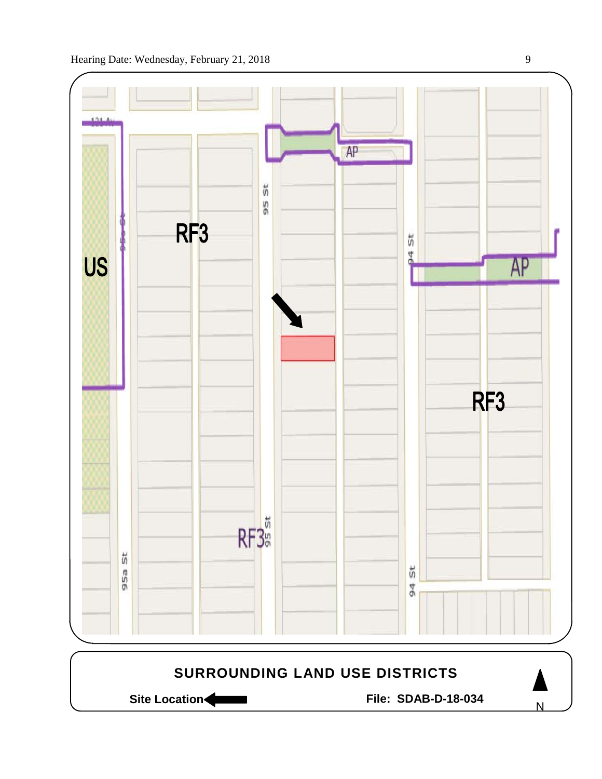



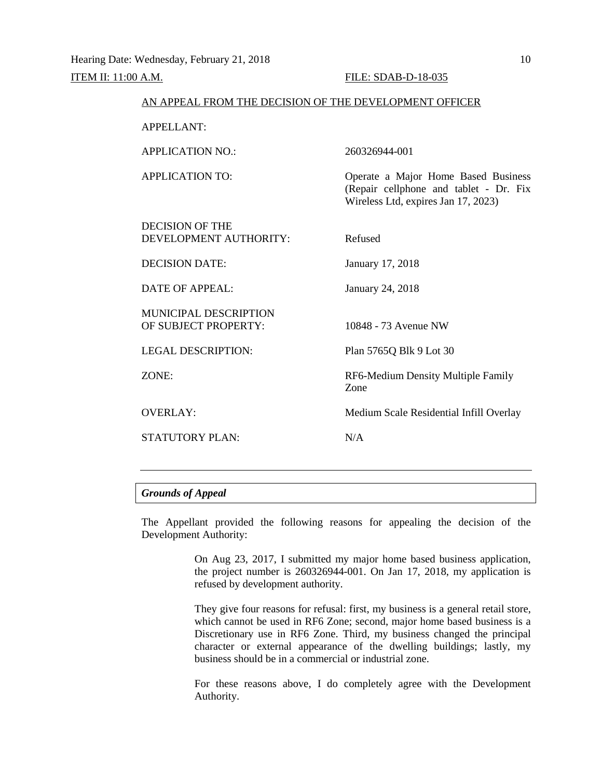# *Grounds of Appeal*

The Appellant provided the following reasons for appealing the decision of the Development Authority:

> On Aug 23, 2017, I submitted my major home based business application, the project number is 260326944-001. On Jan 17, 2018, my application is refused by development authority.

> They give four reasons for refusal: first, my business is a general retail store, which cannot be used in RF6 Zone; second, major home based business is a Discretionary use in RF6 Zone. Third, my business changed the principal character or external appearance of the dwelling buildings; lastly, my business should be in a commercial or industrial zone.

> For these reasons above, I do completely agree with the Development Authority.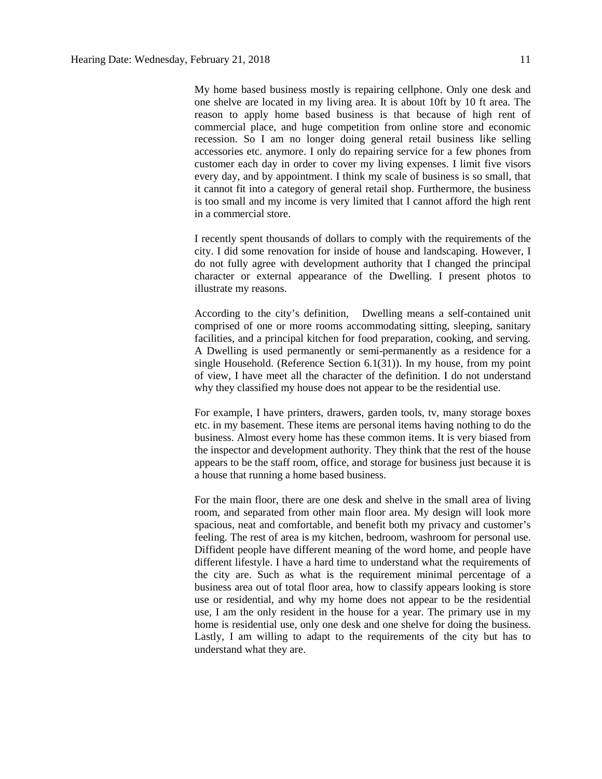My home based business mostly is repairing cellphone. Only one desk and one shelve are located in my living area. It is about 10ft by 10 ft area. The reason to apply home based business is that because of high rent of commercial place, and huge competition from online store and economic recession. So I am no longer doing general retail business like selling accessories etc. anymore. I only do repairing service for a few phones from customer each day in order to cover my living expenses. I limit five visors every day, and by appointment. I think my scale of business is so small, that it cannot fit into a category of general retail shop. Furthermore, the business is too small and my income is very limited that I cannot afford the high rent in a commercial store.

I recently spent thousands of dollars to comply with the requirements of the city. I did some renovation for inside of house and landscaping. However, I do not fully agree with development authority that I changed the principal character or external appearance of the Dwelling. I present photos to illustrate my reasons.

According to the city's definition, Dwelling means a self-contained unit comprised of one or more rooms accommodating sitting, sleeping, sanitary facilities, and a principal kitchen for food preparation, cooking, and serving. A Dwelling is used permanently or semi-permanently as a residence for a single Household. (Reference Section 6.1(31)). In my house, from my point of view, I have meet all the character of the definition. I do not understand why they classified my house does not appear to be the residential use.

For example, I have printers, drawers, garden tools, tv, many storage boxes etc. in my basement. These items are personal items having nothing to do the business. Almost every home has these common items. It is very biased from the inspector and development authority. They think that the rest of the house appears to be the staff room, office, and storage for business just because it is a house that running a home based business.

For the main floor, there are one desk and shelve in the small area of living room, and separated from other main floor area. My design will look more spacious, neat and comfortable, and benefit both my privacy and customer's feeling. The rest of area is my kitchen, bedroom, washroom for personal use. Diffident people have different meaning of the word home, and people have different lifestyle. I have a hard time to understand what the requirements of the city are. Such as what is the requirement minimal percentage of a business area out of total floor area, how to classify appears looking is store use or residential, and why my home does not appear to be the residential use, I am the only resident in the house for a year. The primary use in my home is residential use, only one desk and one shelve for doing the business. Lastly, I am willing to adapt to the requirements of the city but has to understand what they are.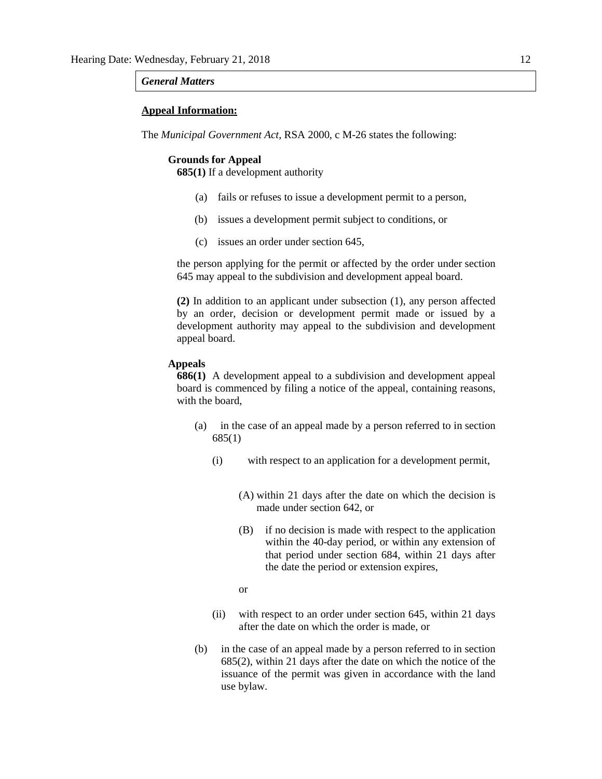#### *General Matters*

## **Appeal Information:**

The *Municipal Government Act*, RSA 2000, c M-26 states the following:

#### **Grounds for Appeal**

**685(1)** If a development authority

- (a) fails or refuses to issue a development permit to a person,
- (b) issues a development permit subject to conditions, or
- (c) issues an order under section 645,

the person applying for the permit or affected by the order under section 645 may appeal to the subdivision and development appeal board.

**(2)** In addition to an applicant under subsection (1), any person affected by an order, decision or development permit made or issued by a development authority may appeal to the subdivision and development appeal board.

## **Appeals**

**686(1)** A development appeal to a subdivision and development appeal board is commenced by filing a notice of the appeal, containing reasons, with the board,

- (a) in the case of an appeal made by a person referred to in section 685(1)
	- (i) with respect to an application for a development permit,
		- (A) within 21 days after the date on which the decision is made under section 642, or
		- (B) if no decision is made with respect to the application within the 40-day period, or within any extension of that period under section 684, within 21 days after the date the period or extension expires,
		- or
	- (ii) with respect to an order under section 645, within 21 days after the date on which the order is made, or
- (b) in the case of an appeal made by a person referred to in section 685(2), within 21 days after the date on which the notice of the issuance of the permit was given in accordance with the land use bylaw.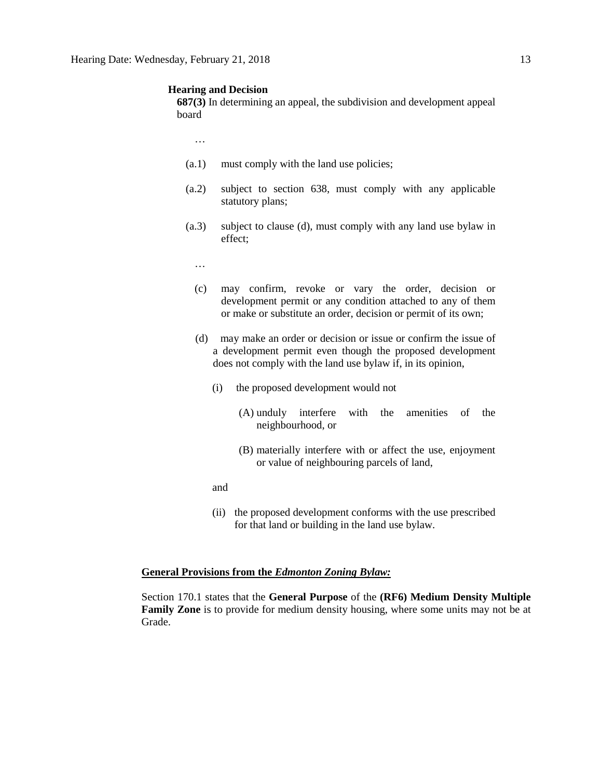#### **Hearing and Decision**

**687(3)** In determining an appeal, the subdivision and development appeal board

…

- (a.1) must comply with the land use policies;
- (a.2) subject to section 638, must comply with any applicable statutory plans;
- (a.3) subject to clause (d), must comply with any land use bylaw in effect;
	- …
	- (c) may confirm, revoke or vary the order, decision or development permit or any condition attached to any of them or make or substitute an order, decision or permit of its own;
	- (d) may make an order or decision or issue or confirm the issue of a development permit even though the proposed development does not comply with the land use bylaw if, in its opinion,
		- (i) the proposed development would not
			- (A) unduly interfere with the amenities of the neighbourhood, or
			- (B) materially interfere with or affect the use, enjoyment or value of neighbouring parcels of land,
		- and
		- (ii) the proposed development conforms with the use prescribed for that land or building in the land use bylaw.

## **General Provisions from the** *Edmonton Zoning Bylaw:*

Section 170.1 states that the **General Purpose** of the **(RF6) Medium Density Multiple Family Zone** is to provide for medium density housing, where some units may not be at Grade.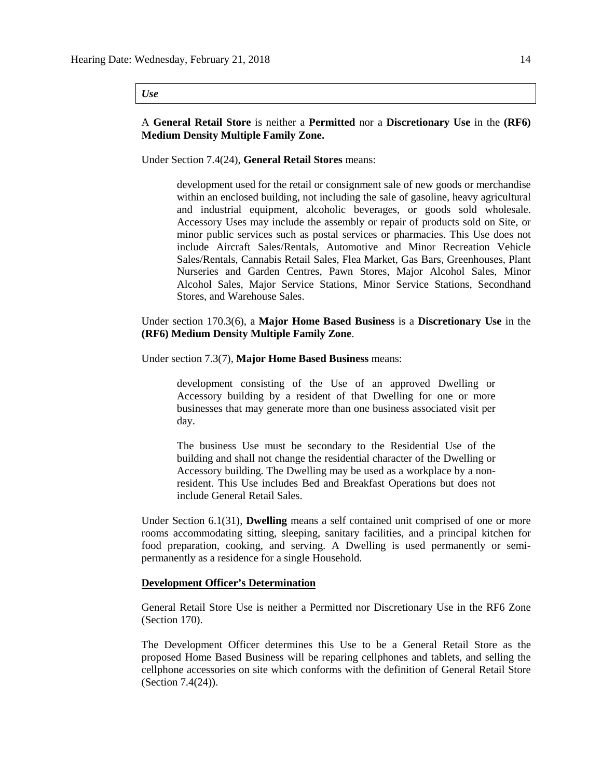#### *Use*

# A **General Retail Store** is neither a **Permitted** nor a **Discretionary Use** in the **(RF6) Medium Density Multiple Family Zone.**

# Under Section 7.4(24), **General Retail Stores** means:

development used for the retail or consignment sale of new goods or merchandise within an enclosed building, not including the sale of gasoline, heavy agricultural and industrial equipment, alcoholic beverages, or goods sold wholesale. Accessory Uses may include the assembly or repair of products sold on Site, or minor public services such as postal services or pharmacies. This Use does not include Aircraft Sales/Rentals, Automotive and Minor Recreation Vehicle Sales/Rentals, Cannabis Retail Sales, Flea Market, Gas Bars, Greenhouses, Plant Nurseries and Garden Centres, Pawn Stores, Major Alcohol Sales, Minor Alcohol Sales, Major Service Stations, Minor Service Stations, Secondhand Stores, and Warehouse Sales.

# Under section 170.3(6), a **Major Home Based Business** is a **Discretionary Use** in the **(RF6) Medium Density Multiple Family Zone**.

#### Under section 7.3(7), **Major Home Based Business** means:

development consisting of the Use of an approved Dwelling or Accessory building by a resident of that Dwelling for one or more businesses that may generate more than one business associated visit per day.

The business Use must be secondary to the Residential Use of the building and shall not change the residential character of the Dwelling or Accessory building. The Dwelling may be used as a workplace by a nonresident. This Use includes Bed and Breakfast Operations but does not include General Retail Sales.

Under Section 6.1(31), **Dwelling** means a self contained unit comprised of one or more rooms accommodating sitting, sleeping, sanitary facilities, and a principal kitchen for food preparation, cooking, and serving. A Dwelling is used permanently or semipermanently as a residence for a single Household.

## **Development Officer's Determination**

General Retail Store Use is neither a Permitted nor Discretionary Use in the RF6 Zone (Section 170).

The Development Officer determines this Use to be a General Retail Store as the proposed Home Based Business will be reparing cellphones and tablets, and selling the cellphone accessories on site which conforms with the definition of General Retail Store (Section 7.4(24)).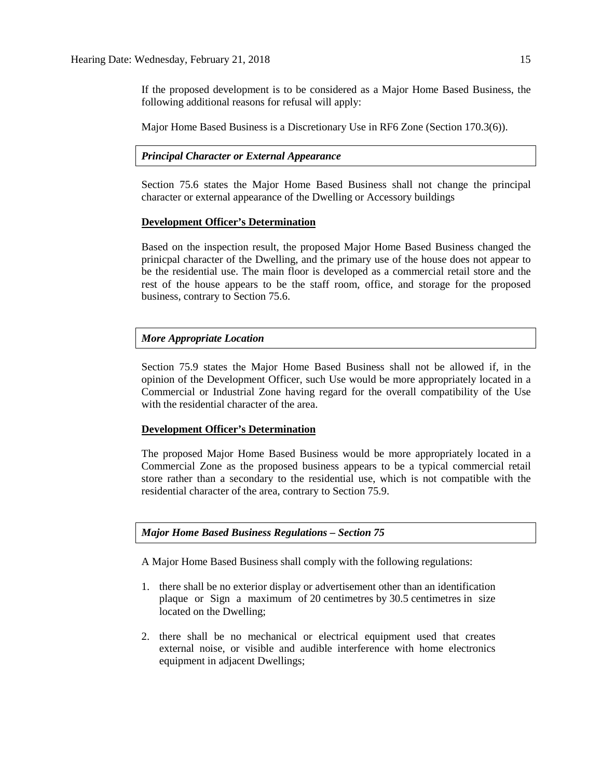If the proposed development is to be considered as a Major Home Based Business, the following additional reasons for refusal will apply:

Major Home Based Business is a Discretionary Use in RF6 Zone (Section 170.3(6)).

# *Principal Character or External Appearance*

Section 75.6 states the Major Home Based Business shall not change the principal character or external appearance of the Dwelling or Accessory buildings

# **Development Officer's Determination**

Based on the inspection result, the proposed Major Home Based Business changed the prinicpal character of the Dwelling, and the primary use of the house does not appear to be the residential use. The main floor is developed as a commercial retail store and the rest of the house appears to be the staff room, office, and storage for the proposed business, contrary to Section 75.6.

# *More Appropriate Location*

Section 75.9 states the Major Home Based Business shall not be allowed if, in the opinion of the Development Officer, such Use would be more appropriately located in a Commercial or Industrial Zone having regard for the overall compatibility of the Use with the residential character of the area.

## **Development Officer's Determination**

The proposed Major Home Based Business would be more appropriately located in a Commercial Zone as the proposed business appears to be a typical commercial retail store rather than a secondary to the residential use, which is not compatible with the residential character of the area, contrary to Section 75.9.

*Major Home Based Business Regulations – Section 75*

A [Major Home Based Business](javascript:void(0);) shall comply with the following regulations:

- 1. there shall be no exterior display or advertisement other than an identification plaque or Sign a maximum of 20 [centimetres](javascript:void(0);) by 30.5 [centime](javascript:void(0);)tres in size located on the Dwelling;
- 2. there shall be no mechanical or electrical equipment used that creates external noise, or visible and audible interference with home electronics equipment in adjacent Dwellings;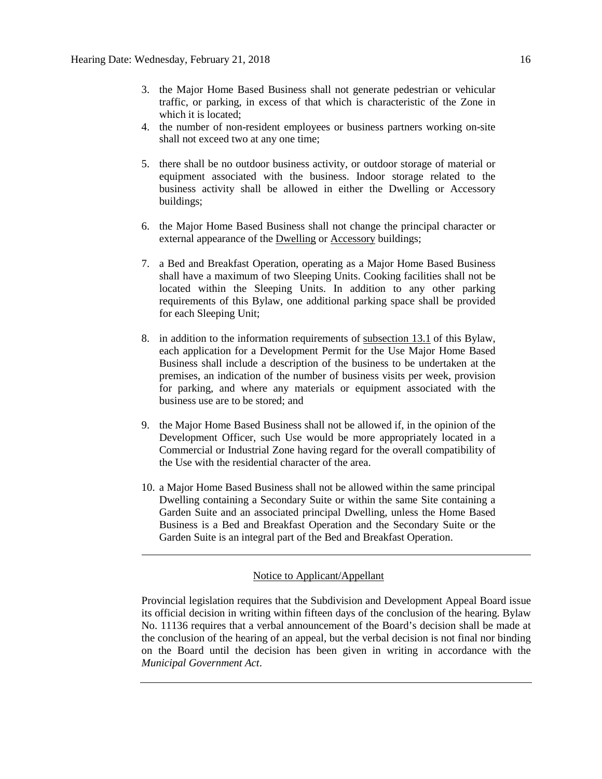- 3. the Major Home Based Business shall not generate pedestrian or vehicular traffic, or parking, in excess of that which is characteristic of the Zone in which it is located;
- 4. the number of non-resident employees or business partners working on-site shall not exceed two at any one time;
- 5. there shall be no outdoor business activity, or outdoor storage of material or equipment associated with the business. Indoor storage related to the business activity shall be allowed in either the Dwelling or Accessory buildings;
- 6. the Major Home Based Business shall not change the principal character or external appearance of the [Dwelling](javascript:void(0);) or [Accessory](javascript:void(0);) buildings;
- 7. a Bed and Breakfast Operation, operating as a Major Home Based Business shall have a maximum of two Sleeping Units. Cooking facilities shall not be located within the Sleeping Units. In addition to any other parking requirements of this Bylaw, one additional parking space shall be provided for each Sleeping Unit;
- 8. in addition to the information requirements of [subsection 13.1](http://webdocs.edmonton.ca/InfraPlan/zoningbylaw/ZoningBylaw/Part1/Administrative/13__Development_Permit_Application.htm) of this Bylaw, each application for a Development Permit for the Use Major Home Based Business shall include a description of the business to be undertaken at the premises, an indication of the number of business visits per week, provision for parking, and where any materials or equipment associated with the business use are to be stored; and
- 9. the [Major Home Based Business](javascript:void(0);) shall not be allowed if, in the opinion of the Development Officer, such Use would be more appropriately located in a Commercial or Industrial Zone having regard for the overall compatibility of the Use with the residential character of the area.
- 10. a Major Home Based Business shall not be allowed within the same principal Dwelling containing a Secondary Suite or within the same Site containing a Garden Suite and an associated principal Dwelling, unless the Home Based Business is a Bed and Breakfast Operation and the Secondary Suite or the Garden Suite is an integral part of the Bed and Breakfast Operation.

# Notice to Applicant/Appellant

Provincial legislation requires that the Subdivision and Development Appeal Board issue its official decision in writing within fifteen days of the conclusion of the hearing. Bylaw No. 11136 requires that a verbal announcement of the Board's decision shall be made at the conclusion of the hearing of an appeal, but the verbal decision is not final nor binding on the Board until the decision has been given in writing in accordance with the *Municipal Government Act*.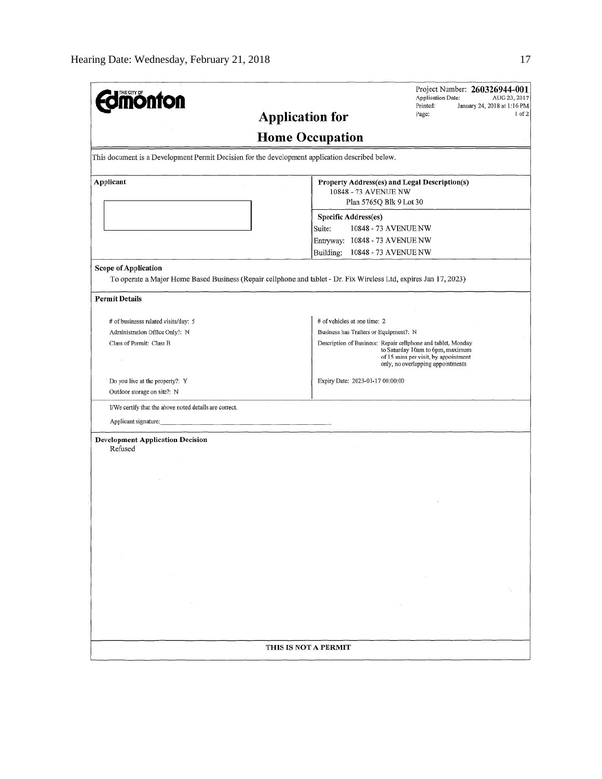| <b>ioulou</b>                                                                                                                             | Project Number: 260326944-001<br>Application Date:<br>AUG 23, 2017                                                                                                                                                                                      |  |  |  |
|-------------------------------------------------------------------------------------------------------------------------------------------|---------------------------------------------------------------------------------------------------------------------------------------------------------------------------------------------------------------------------------------------------------|--|--|--|
|                                                                                                                                           | Printed:<br>January 24, 2018 at 1:16 PM<br>$1$ of $2$<br>Page:<br><b>Application for</b>                                                                                                                                                                |  |  |  |
|                                                                                                                                           | <b>Home Occupation</b>                                                                                                                                                                                                                                  |  |  |  |
| This document is a Development Permit Decision for the development application described below.                                           |                                                                                                                                                                                                                                                         |  |  |  |
| Applicant                                                                                                                                 | Property Address(es) and Legal Description(s)<br>10848 - 73 AVENUE NW<br>Plan 5765Q Blk 9 Lot 30                                                                                                                                                        |  |  |  |
|                                                                                                                                           | <b>Specific Address(es)</b><br>10848 - 73 AVENUE NW<br>Suite:<br>Entryway: 10848 - 73 AVENUE NW<br>Building:<br>10848 - 73 AVENUE NW                                                                                                                    |  |  |  |
| Scope of Application<br>To operate a Major Home Based Business (Repair cellphone and tablet - Dr. Fix Wireless Ltd, expires Jan 17, 2023) |                                                                                                                                                                                                                                                         |  |  |  |
| <b>Permit Details</b>                                                                                                                     |                                                                                                                                                                                                                                                         |  |  |  |
| # of businesss related visits/day: 5<br>Administration Office Only?: N<br>Class of Permit: Class B                                        | # of vehicles at one time: 2<br>Business has Trailers or Equipment?: N<br>Description of Business: Repair cellphone and tablet, Monday<br>to Saturday 10am to 6pm, maximum<br>of 15 mins per visit, by appointment<br>only, no overlapping appointments |  |  |  |
| Do you live at the property?: Y<br>Outdoor storage on site?: N                                                                            | Expiry Date: 2023-01-17 00:00:00                                                                                                                                                                                                                        |  |  |  |
| I/We certify that the above noted details are correct.<br>Applicant signature:                                                            |                                                                                                                                                                                                                                                         |  |  |  |
| <b>Development Application Decision</b><br>Refused                                                                                        |                                                                                                                                                                                                                                                         |  |  |  |
|                                                                                                                                           |                                                                                                                                                                                                                                                         |  |  |  |
|                                                                                                                                           |                                                                                                                                                                                                                                                         |  |  |  |
|                                                                                                                                           |                                                                                                                                                                                                                                                         |  |  |  |
|                                                                                                                                           |                                                                                                                                                                                                                                                         |  |  |  |
|                                                                                                                                           | THIS IS NOT A PERMIT                                                                                                                                                                                                                                    |  |  |  |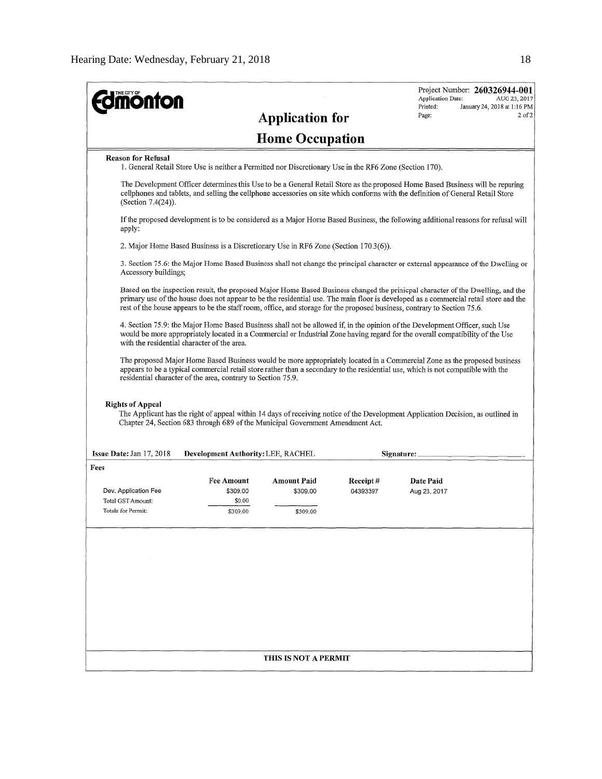| <b>Home Occupation</b><br><b>Reason for Refusal</b><br>1. General Retail Store Use is neither a Permitted nor Discretionary Use in the RF6 Zone (Section 170).<br>The Development Officer determines this Use to be a General Retail Store as the proposed Home Based Business will be reparing<br>cellphones and tablets, and selling the cellphone accessories on site which conforms with the definition of General Retail Store<br>(Section 7.4(24)).<br>If the proposed development is to be considered as a Major Home Based Business, the following additional reasons for refusal will<br>apply:<br>2. Major Home Based Business is a Discretionary Use in RF6 Zone (Section 170.3(6)).<br>3. Section 75.6: the Major Home Based Business shall not change the principal character or external appearance of the Dwelling or<br>Accessory buildings;<br>Based on the inspection result, the proposed Major Home Based Business changed the prinicpal character of the Dwelling, and the<br>primary use of the house does not appear to be the residential use. The main floor is developed as a commercial retail store and the<br>rest of the house appears to be the staff room, office, and storage for the proposed business, contrary to Section 75.6.<br>4. Section 75.9: the Major Home Based Business shall not be allowed if, in the opinion of the Development Officer, such Use<br>would be more appropriately located in a Commercial or Industrial Zone having regard for the overall compatibility of the Use<br>with the residential character of the area.<br>The proposed Major Home Based Business would be more appropriately located in a Commercial Zone as the proposed business<br>appears to be a typical commercial retail store rather than a secondary to the residential use, which is not compatible with the<br>residential character of the area, contrary to Section 75.9.<br><b>Rights of Appeal</b><br>The Applicant has the right of appeal within 14 days of receiving notice of the Development Application Decision, as outlined in<br>Chapter 24, Section 683 through 689 of the Municipal Government Amendment Act.<br>Issue Date: Jan 17, 2018<br><b>Development Authority: LEE, RACHEL</b><br>Signature:<br>Fees<br><b>Fee Amount</b><br><b>Amount Paid</b><br>Receipt#<br>Date Paid<br>Dev. Application Fee<br>\$309.00<br>04393397<br>\$309.00<br>Aug 23, 2017<br>Total GST Amount:<br>\$0.00<br>Totals for Permit:<br>\$309,00<br>\$309.00<br>THIS IS NOT A PERMIT | <b>monton</b> | <b>Application for</b> | Project Number: 260326944-001<br>Application Date:<br>AUG 23, 2017<br>Printed:<br>January 24, 2018 at 1:16 PM<br>$2$ of $2$<br>Page: |
|-------------------------------------------------------------------------------------------------------------------------------------------------------------------------------------------------------------------------------------------------------------------------------------------------------------------------------------------------------------------------------------------------------------------------------------------------------------------------------------------------------------------------------------------------------------------------------------------------------------------------------------------------------------------------------------------------------------------------------------------------------------------------------------------------------------------------------------------------------------------------------------------------------------------------------------------------------------------------------------------------------------------------------------------------------------------------------------------------------------------------------------------------------------------------------------------------------------------------------------------------------------------------------------------------------------------------------------------------------------------------------------------------------------------------------------------------------------------------------------------------------------------------------------------------------------------------------------------------------------------------------------------------------------------------------------------------------------------------------------------------------------------------------------------------------------------------------------------------------------------------------------------------------------------------------------------------------------------------------------------------------------------------------------------------------------------------------------------------------------------------------------------------------------------------------------------------------------------------------------------------------------------------------------------------------------------------------------------------------------------------------------------------------------------------------------------------------------------------------------------------------------------------|---------------|------------------------|--------------------------------------------------------------------------------------------------------------------------------------|
|                                                                                                                                                                                                                                                                                                                                                                                                                                                                                                                                                                                                                                                                                                                                                                                                                                                                                                                                                                                                                                                                                                                                                                                                                                                                                                                                                                                                                                                                                                                                                                                                                                                                                                                                                                                                                                                                                                                                                                                                                                                                                                                                                                                                                                                                                                                                                                                                                                                                                                                         |               |                        |                                                                                                                                      |
|                                                                                                                                                                                                                                                                                                                                                                                                                                                                                                                                                                                                                                                                                                                                                                                                                                                                                                                                                                                                                                                                                                                                                                                                                                                                                                                                                                                                                                                                                                                                                                                                                                                                                                                                                                                                                                                                                                                                                                                                                                                                                                                                                                                                                                                                                                                                                                                                                                                                                                                         |               |                        |                                                                                                                                      |
|                                                                                                                                                                                                                                                                                                                                                                                                                                                                                                                                                                                                                                                                                                                                                                                                                                                                                                                                                                                                                                                                                                                                                                                                                                                                                                                                                                                                                                                                                                                                                                                                                                                                                                                                                                                                                                                                                                                                                                                                                                                                                                                                                                                                                                                                                                                                                                                                                                                                                                                         |               |                        |                                                                                                                                      |
|                                                                                                                                                                                                                                                                                                                                                                                                                                                                                                                                                                                                                                                                                                                                                                                                                                                                                                                                                                                                                                                                                                                                                                                                                                                                                                                                                                                                                                                                                                                                                                                                                                                                                                                                                                                                                                                                                                                                                                                                                                                                                                                                                                                                                                                                                                                                                                                                                                                                                                                         |               |                        |                                                                                                                                      |
|                                                                                                                                                                                                                                                                                                                                                                                                                                                                                                                                                                                                                                                                                                                                                                                                                                                                                                                                                                                                                                                                                                                                                                                                                                                                                                                                                                                                                                                                                                                                                                                                                                                                                                                                                                                                                                                                                                                                                                                                                                                                                                                                                                                                                                                                                                                                                                                                                                                                                                                         |               |                        |                                                                                                                                      |
|                                                                                                                                                                                                                                                                                                                                                                                                                                                                                                                                                                                                                                                                                                                                                                                                                                                                                                                                                                                                                                                                                                                                                                                                                                                                                                                                                                                                                                                                                                                                                                                                                                                                                                                                                                                                                                                                                                                                                                                                                                                                                                                                                                                                                                                                                                                                                                                                                                                                                                                         |               |                        |                                                                                                                                      |
|                                                                                                                                                                                                                                                                                                                                                                                                                                                                                                                                                                                                                                                                                                                                                                                                                                                                                                                                                                                                                                                                                                                                                                                                                                                                                                                                                                                                                                                                                                                                                                                                                                                                                                                                                                                                                                                                                                                                                                                                                                                                                                                                                                                                                                                                                                                                                                                                                                                                                                                         |               |                        |                                                                                                                                      |
|                                                                                                                                                                                                                                                                                                                                                                                                                                                                                                                                                                                                                                                                                                                                                                                                                                                                                                                                                                                                                                                                                                                                                                                                                                                                                                                                                                                                                                                                                                                                                                                                                                                                                                                                                                                                                                                                                                                                                                                                                                                                                                                                                                                                                                                                                                                                                                                                                                                                                                                         |               |                        |                                                                                                                                      |
|                                                                                                                                                                                                                                                                                                                                                                                                                                                                                                                                                                                                                                                                                                                                                                                                                                                                                                                                                                                                                                                                                                                                                                                                                                                                                                                                                                                                                                                                                                                                                                                                                                                                                                                                                                                                                                                                                                                                                                                                                                                                                                                                                                                                                                                                                                                                                                                                                                                                                                                         |               |                        |                                                                                                                                      |
|                                                                                                                                                                                                                                                                                                                                                                                                                                                                                                                                                                                                                                                                                                                                                                                                                                                                                                                                                                                                                                                                                                                                                                                                                                                                                                                                                                                                                                                                                                                                                                                                                                                                                                                                                                                                                                                                                                                                                                                                                                                                                                                                                                                                                                                                                                                                                                                                                                                                                                                         |               |                        |                                                                                                                                      |
|                                                                                                                                                                                                                                                                                                                                                                                                                                                                                                                                                                                                                                                                                                                                                                                                                                                                                                                                                                                                                                                                                                                                                                                                                                                                                                                                                                                                                                                                                                                                                                                                                                                                                                                                                                                                                                                                                                                                                                                                                                                                                                                                                                                                                                                                                                                                                                                                                                                                                                                         |               |                        |                                                                                                                                      |
|                                                                                                                                                                                                                                                                                                                                                                                                                                                                                                                                                                                                                                                                                                                                                                                                                                                                                                                                                                                                                                                                                                                                                                                                                                                                                                                                                                                                                                                                                                                                                                                                                                                                                                                                                                                                                                                                                                                                                                                                                                                                                                                                                                                                                                                                                                                                                                                                                                                                                                                         |               |                        |                                                                                                                                      |
|                                                                                                                                                                                                                                                                                                                                                                                                                                                                                                                                                                                                                                                                                                                                                                                                                                                                                                                                                                                                                                                                                                                                                                                                                                                                                                                                                                                                                                                                                                                                                                                                                                                                                                                                                                                                                                                                                                                                                                                                                                                                                                                                                                                                                                                                                                                                                                                                                                                                                                                         |               |                        |                                                                                                                                      |
|                                                                                                                                                                                                                                                                                                                                                                                                                                                                                                                                                                                                                                                                                                                                                                                                                                                                                                                                                                                                                                                                                                                                                                                                                                                                                                                                                                                                                                                                                                                                                                                                                                                                                                                                                                                                                                                                                                                                                                                                                                                                                                                                                                                                                                                                                                                                                                                                                                                                                                                         |               |                        |                                                                                                                                      |
|                                                                                                                                                                                                                                                                                                                                                                                                                                                                                                                                                                                                                                                                                                                                                                                                                                                                                                                                                                                                                                                                                                                                                                                                                                                                                                                                                                                                                                                                                                                                                                                                                                                                                                                                                                                                                                                                                                                                                                                                                                                                                                                                                                                                                                                                                                                                                                                                                                                                                                                         |               |                        |                                                                                                                                      |